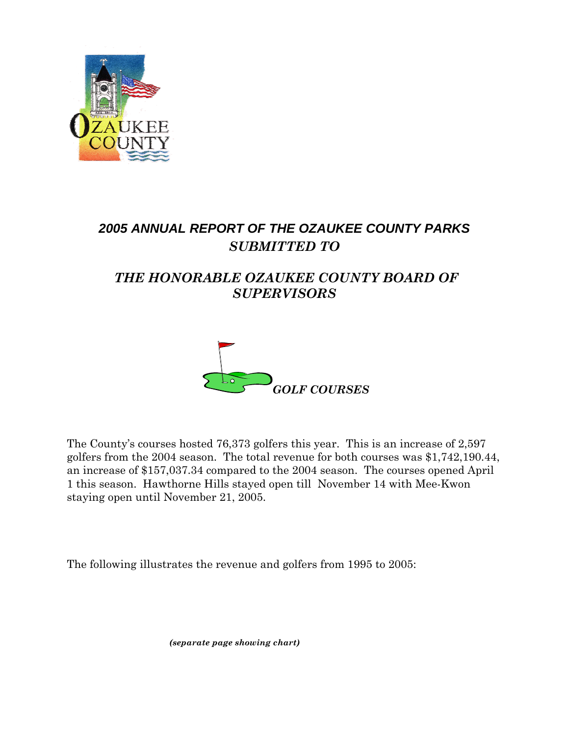

# *2005 ANNUAL REPORT OF THE OZAUKEE COUNTY PARKS SUBMITTED TO*

## *THE HONORABLE OZAUKEE COUNTY BOARD OF SUPERVISORS*



The County's courses hosted 76,373 golfers this year. This is an increase of 2,597 golfers from the 2004 season. The total revenue for both courses was \$1,742,190.44, an increase of \$157,037.34 compared to the 2004 season. The courses opened April 1 this season. Hawthorne Hills stayed open till November 14 with Mee-Kwon staying open until November 21, 2005.

The following illustrates the revenue and golfers from 1995 to 2005:

 *(separate page showing chart)*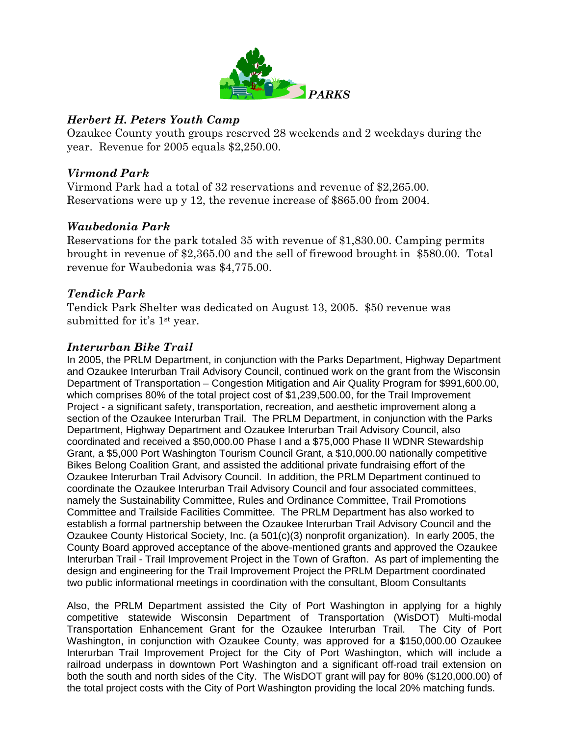

#### *Herbert H. Peters Youth Camp*

Ozaukee County youth groups reserved 28 weekends and 2 weekdays during the year. Revenue for 2005 equals \$2,250.00.

### *Virmond Park*

Virmond Park had a total of 32 reservations and revenue of \$2,265.00. Reservations were up y 12, the revenue increase of \$865.00 from 2004.

### *Waubedonia Park*

Reservations for the park totaled 35 with revenue of \$1,830.00. Camping permits brought in revenue of \$2,365.00 and the sell of firewood brought in \$580.00. Total revenue for Waubedonia was \$4,775.00.

### *Tendick Park*

Tendick Park Shelter was dedicated on August 13, 2005. \$50 revenue was submitted for it's 1st year.

### *Interurban Bike Trail*

In 2005, the PRLM Department, in conjunction with the Parks Department, Highway Department and Ozaukee Interurban Trail Advisory Council, continued work on the grant from the Wisconsin Department of Transportation – Congestion Mitigation and Air Quality Program for \$991,600.00, which comprises 80% of the total project cost of \$1,239,500.00, for the Trail Improvement Project - a significant safety, transportation, recreation, and aesthetic improvement along a section of the Ozaukee Interurban Trail. The PRLM Department, in conjunction with the Parks Department, Highway Department and Ozaukee Interurban Trail Advisory Council, also coordinated and received a \$50,000.00 Phase I and a \$75,000 Phase II WDNR Stewardship Grant, a \$5,000 Port Washington Tourism Council Grant, a \$10,000.00 nationally competitive Bikes Belong Coalition Grant, and assisted the additional private fundraising effort of the Ozaukee Interurban Trail Advisory Council. In addition, the PRLM Department continued to coordinate the Ozaukee Interurban Trail Advisory Council and four associated committees, namely the Sustainability Committee, Rules and Ordinance Committee, Trail Promotions Committee and Trailside Facilities Committee. The PRLM Department has also worked to establish a formal partnership between the Ozaukee Interurban Trail Advisory Council and the Ozaukee County Historical Society, Inc. (a 501(c)(3) nonprofit organization). In early 2005, the County Board approved acceptance of the above-mentioned grants and approved the Ozaukee Interurban Trail - Trail Improvement Project in the Town of Grafton. As part of implementing the design and engineering for the Trail Improvement Project the PRLM Department coordinated two public informational meetings in coordination with the consultant, Bloom Consultants

Also, the PRLM Department assisted the City of Port Washington in applying for a highly competitive statewide Wisconsin Department of Transportation (WisDOT) Multi-modal Transportation Enhancement Grant for the Ozaukee Interurban Trail. The City of Port Washington, in conjunction with Ozaukee County, was approved for a \$150,000.00 Ozaukee Interurban Trail Improvement Project for the City of Port Washington, which will include a railroad underpass in downtown Port Washington and a significant off-road trail extension on both the south and north sides of the City. The WisDOT grant will pay for 80% (\$120,000.00) of the total project costs with the City of Port Washington providing the local 20% matching funds.